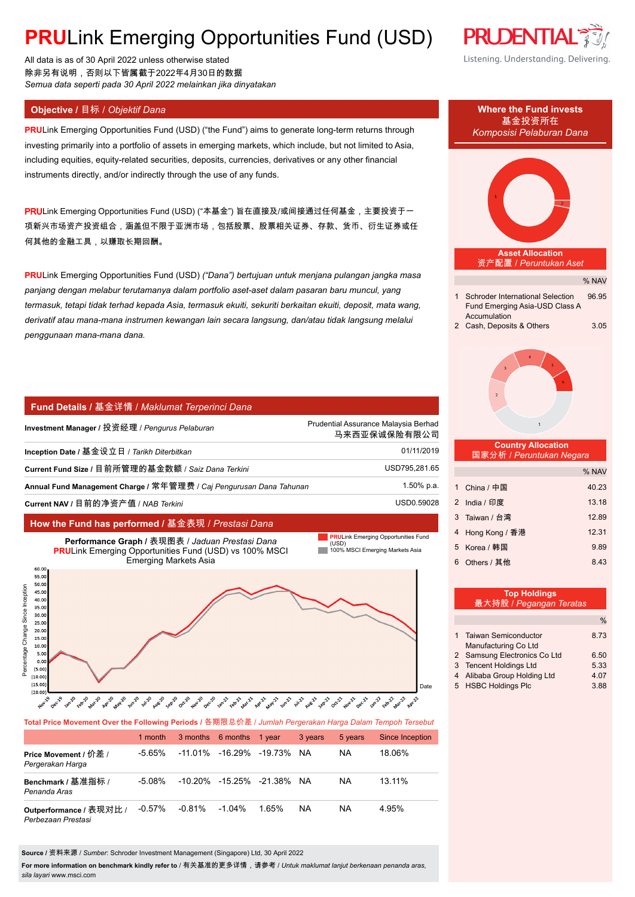# **PRULink Emerging Opportunities Fund (USD)**

All data is as of 30 April 2022 unless otherwise stated 除非另有说明,否则以下皆属截于2022年4月30日的数据 *Semua data seperti pada 30 April 2022 melainkan jika dinyatakan*

**PRU**Link Emerging Opportunities Fund (USD) ("the Fund") aims to generate long-term returns through investing primarily into a portfolio of assets in emerging markets, which include, but not limited to Asia, including equities, equity-related securities, deposits, currencies, derivatives or any other financial instruments directly, and/or indirectly through the use of any funds.

PRULink Emerging Opportunities Fund (USD) ("本基金") 旨在直接及/或间接通过任何基金,主要投资于一 项新兴市场资产投资组合,涵盖但不限于亚洲市场,包括股票、股票相关证券、存款、货币、衍生证券或任 何其他的金融工具,以赚取长期回酬。

**PRU**Link Emerging Opportunities Fund (USD) *("Dana") bertujuan untuk menjana pulangan jangka masa panjang dengan melabur terutamanya dalam portfolio aset-aset dalam pasaran baru muncul, yang termasuk, tetapi tidak terhad kepada Asia, termasuk ekuiti, sekuriti berkaitan ekuiti, deposit, mata wang, derivatif atau mana-mana instrumen kewangan lain secara langsung, dan/atau tidak langsung melalui penggunaan mana-mana dana.*

#### **Fund Details /** 基金详情 / *Maklumat Terperinci Dana*

| Investment Manager / 投资经理 / Pengurus Pelaburan                      | Prudential Assurance Malaysia Berhad<br>马来西亚保诚保险有限公司 |  |  |
|---------------------------------------------------------------------|------------------------------------------------------|--|--|
| Inception Date / 基金设立日 / Tarikh Diterbitkan                         | 01/11/2019                                           |  |  |
| Current Fund Size / 目前所管理的基金数额 / Saiz Dana Terkini                  | USD795,281.65                                        |  |  |
| Annual Fund Management Charge / 常年管理费 / Caj Pengurusan Dana Tahunan | 1.50% p.a.                                           |  |  |
| Current NAV / 目前的净资产值 / NAB Terkini                                 | USD0.59028                                           |  |  |
|                                                                     |                                                      |  |  |

#### **How the Fund has performed /** 基金表现 / *Prestasi Dana*

 $10.1$  $5.0$  $0.0$  $(5.00)$  $(10.00)$  $(15.0)$  $(20.00)$ 





**Total Price Movement Over the Following Periods /** 各期限总价差 / *Jumlah Pergerakan Harga Dalam Tempoh Tersebut*

|                                               | 1 month   |           | 3 months 6 months 1 year            |       | 3 years   | 5 years   | Since Inception |
|-----------------------------------------------|-----------|-----------|-------------------------------------|-------|-----------|-----------|-----------------|
| Price Movement / 价差 /<br>Pergerakan Harga     | -5.65%    |           | $-11.01\%$ $-16.29\%$ $-19.73\%$    |       | <b>NA</b> | <b>NA</b> | 18.06%          |
| Benchmark / 基准指标 /<br>Penanda Aras            | $-5.08\%$ |           | $-10,20\%$ $-15,25\%$ $-21,38\%$ NA |       |           | <b>NA</b> | 13.11%          |
| Outperformance / 表现对比 /<br>Perbezaan Prestasi | $-0.57%$  | $-0.81\%$ | $-1.04\%$                           | 1.65% | <b>NA</b> | NA        | 4 95%           |

**Source /** 资料来源 / *Sumber*: Schroder Investment Management (Singapore) Ltd, 30 April 2022

**For more information on benchmark kindly refer to** / 有关基准的更多详情,请参考 / *Untuk maklumat lanjut berkenaan penanda aras, sila layari* www.msci.com





4 Alibaba Group Holding Ltd 4.07 5 HSBC Holdings Plc 3.88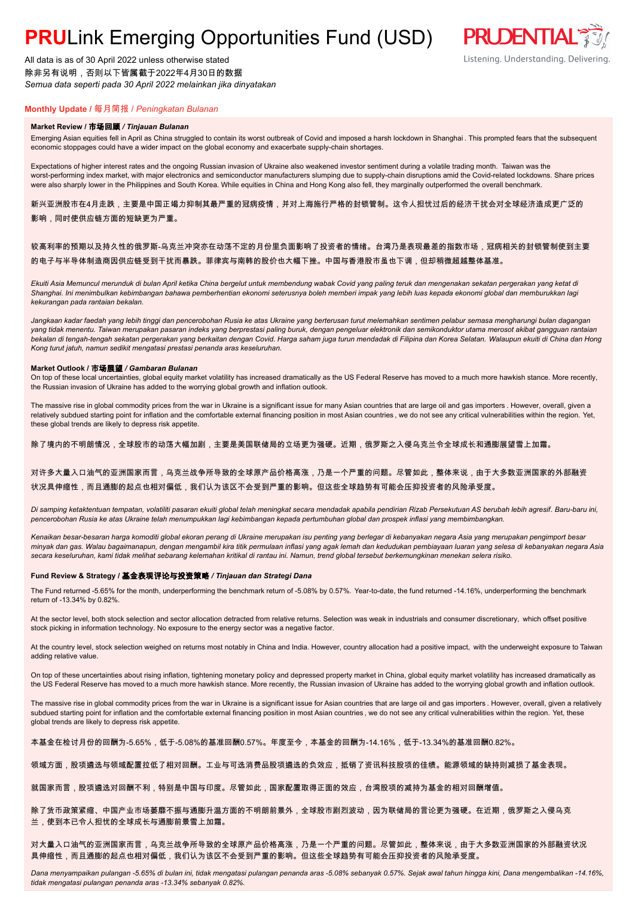## **PRU**Link Emerging Opportunities Fund (USD)

All data is as of 30 April 2022 unless otherwise stated 除非另有说明,否则以下皆属截于2022年4月30日的数据 *Semua data seperti pada 30 April 2022 melainkan jika dinyatakan*

### **PRUDENTIAL** Listening. Understanding. Delivering.

### **Monthly Update /** 每月简报 / *Peningkatan Bulanan*

#### **Market Review /** 市场回顾 */ Tinjauan Bulanan*

Emerging Asian equities fell in April as China struggled to contain its worst outbreak of Covid and imposed a harsh lockdown in Shanghai . This prompted fears that the subsequent economic stoppages could have a wider impact on the global economy and exacerbate supply-chain shortages.

Expectations of higher interest rates and the ongoing Russian invasion of Ukraine also weakened investor sentiment during a volatile trading month. Taiwan was the worst-performing index market, with major electronics and semiconductor manufacturers slumping due to supply-chain disruptions amid the Covid-related lockdowns. Share prices were also sharply lower in the Philippines and South Korea. While equities in China and Hong Kong also fell, they marginally outperformed the overall benchmark.

新兴亚洲股市在4月走跌,主要是中国正竭力抑制其最严重的冠病疫情,并对上海施行严格的封锁管制。这令人担忧过后的经济干扰会对全球经济造成更广泛的 影响,同时使供应链方面的短缺更为严重。

#### 较高利率的预期以及持久性的俄罗斯-乌克兰冲突亦在动荡不定的月份里负面影响了投资者的情绪。台湾乃是表现最差的指数市场,冠病相关的封锁管制使到主要 的电子与半导体制造商因供应链受到干扰而暴跌。菲律宾与南韩的股价也大幅下挫。中国与香港股市虽也下调,但却稍微超越整体基准。

*Ekuiti Asia Memuncul merunduk di bulan April ketika China bergelut untuk membendung wabak Covid yang paling teruk dan mengenakan sekatan pergerakan yang ketat di Shanghai. Ini menimbulkan kebimbangan bahawa pemberhentian ekonomi seterusnya boleh memberi impak yang lebih luas kepada ekonomi global dan memburukkan lagi kekurangan pada rantaian bekalan.*

*Jangkaan kadar faedah yang lebih tinggi dan pencerobohan Rusia ke atas Ukraine yang berterusan turut melemahkan sentimen pelabur semasa mengharungi bulan dagangan yang tidak menentu. Taiwan merupakan pasaran indeks yang berprestasi paling buruk, dengan pengeluar elektronik dan semikonduktor utama merosot akibat gangguan rantaian bekalan di tengah-tengah sekatan pergerakan yang berkaitan dengan Covid. Harga saham juga turun mendadak di Filipina dan Korea Selatan. Walaupun ekuiti di China dan Hong Kong turut jatuh, namun sedikit mengatasi prestasi penanda aras keseluruhan.*

#### **Market Outlook /** 市场展望 */ Gambaran Bulanan*

On top of these local uncertainties, global equity market volatility has increased dramatically as the US Federal Reserve has moved to a much more hawkish stance. More recently, the Russian invasion of Ukraine has added to the worrying global growth and inflation outlook.

The massive rise in global commodity prices from the war in Ukraine is a significant issue for many Asian countries that are large oil and gas importers . However, overall, given a relatively subdued starting point for inflation and the comfortable external financing position in most Asian countries, we do not see any critical vulnerabilities within the region. Yet, these global trends are likely to depress risk appetite.

除了境内的不明朗情况,全球股市的动荡大幅加剧,主要是美国联储局的立场更为强硬。近期,俄罗斯之入侵乌克兰令全球成长和通膨展望雪上加霜。

#### 对许多大量入口油气的亚洲国家而言,乌克兰战争所导致的全球原产品价格高涨,乃是一个严重的问题。尽管如此,整体来说,由于大多数亚洲国家的外部融资 状况具伸缩性,而且通膨的起点也相对偏低,我们认为该区不会受到严重的影响。但这些全球趋势有可能会压抑投资者的风险承受度。

*Di samping ketaktentuan tempatan, volatiliti pasaran ekuiti global telah meningkat secara mendadak apabila pendirian Rizab Persekutuan AS berubah lebih agresif. Baru-baru ini, pencerobohan Rusia ke atas Ukraine telah menumpukkan lagi kebimbangan kepada pertumbuhan global dan prospek inflasi yang membimbangkan.*

*Kenaikan besar-besaran harga komoditi global ekoran perang di Ukraine merupakan isu penting yang berlegar di kebanyakan negara Asia yang merupakan pengimport besar minyak dan gas. Walau bagaimanapun, dengan mengambil kira titik permulaan inflasi yang agak lemah dan kedudukan pembiayaan luaran yang selesa di kebanyakan negara Asia secara keseluruhan, kami tidak melihat sebarang kelemahan kritikal di rantau ini. Namun, trend global tersebut berkemungkinan menekan selera risiko.*

#### **Fund Review & Strategy /** 基金表现评论与投资策略 */ Tinjauan dan Strategi Dana*

The Fund returned -5.65% for the month, underperforming the benchmark return of -5.08% by 0.57%. Year-to-date, the fund returned -14.16%, underperforming the benchmark return of -13.34% by 0.82%.

At the sector level, both stock selection and sector allocation detracted from relative returns. Selection was weak in industrials and consumer discretionary, which offset positive stock picking in information technology. No exposure to the energy sector was a negative factor.

At the country level, stock selection weighed on returns most notably in China and India. However, country allocation had a positive impact, with the underweight exposure to Taiwan adding relative value.

On top of these uncertainties about rising inflation, tightening monetary policy and depressed property market in China, global equity market volatility has increased dramatically as the US Federal Reserve has moved to a much more hawkish stance. More recently, the Russian invasion of Ukraine has added to the worrying global growth and inflation outlook.

The massive rise in global commodity prices from the war in Ukraine is a significant issue for Asian countries that are large oil and gas importers . However, overall, given a relatively subdued starting point for inflation and the comfortable external financing position in most Asian countries, we do not see any critical vulnerabilities within the region. Yet, these global trends are likely to depress risk appetite.

本基金在检讨月份的回酬为-5.65%,低于-5.08%的基准回酬0.57%。年度至今,本基金的回酬为-14.16%,低于-13.34%的基准回酬0.82%。

#### 领域方面,股项遴选与领域配置拉低了相对回酬。工业与可选消费品股项遴选的负效应,抵销了资讯科技股项的佳绩。能源领域的缺持则减损了基金表现。

就国家而言,股项遴选对回酬不利,特别是中国与印度。尽管如此,国家配置取得正面的效应,台湾股项的减持为基金的相对回酬增值。

除了货币政策紧缩、中国产业市场萎靡不振与通膨升温方面的不明朗前景外,全球股市剧烈波动,因为联储局的言论更为强硬。在近期,俄罗斯之入侵乌克 兰,使到本已令人担忧的全球成长与通膨前景雪上加霜。

对大量入口油气的亚洲国家而言,乌克兰战争所导致的全球原产品价格高涨,乃是一个严重的问题。尽管如此,整体来说,由于大多数亚洲国家的外部融资状况 具伸缩性,而且通膨的起点也相对偏低,我们认为该区不会受到严重的影响。但这些全球趋势有可能会压抑投资者的风险承受度。

*Dana menyampaikan pulangan -5.65% di bulan ini, tidak mengatasi pulangan penanda aras -5.08% sebanyak 0.57%. Sejak awal tahun hingga kini, Dana mengembalikan -14.16%, tidak mengatasi pulangan penanda aras -13.34% sebanyak 0.82%.*